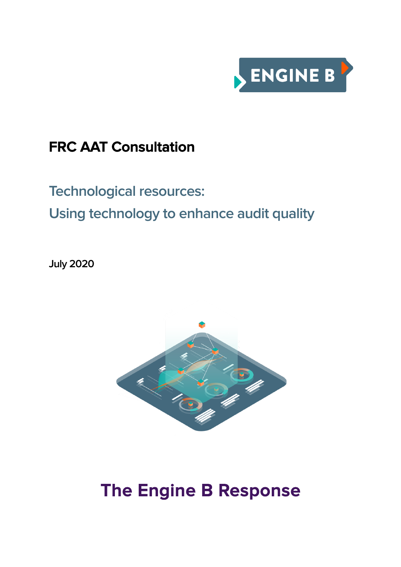

### **FRC AAT Consultation**

## **Technological resources: Using technology to enhance audit quality**

**July 2020**



# **The Engine B Response**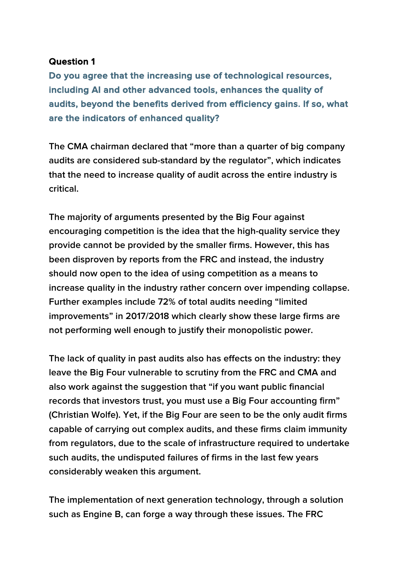**Do you agree that the increasing use of technological resources, including AI and other advanced tools, enhances the quality of audits, beyond the benefits derived from efficiency gains. If so, what are the indicators of enhanced quality?** 

**The CMA chairman declared that "more than a quarter of big company audits are considered sub-standard by the regulator", which indicates that the need to increase quality of audit across the entire industry is critical.** 

**The majority of arguments presented by the Big Four against encouraging competition is the idea that the high-quality service they provide cannot be provided by the smaller firms. However, this has been disproven by reports from the FRC and instead, the industry should now open to the idea of using competition as a means to increase quality in the industry rather concern over impending collapse. Further examples include 72% of total audits needing "limited improvements" in 2017/2018 which clearly show these large firms are not performing well enough to justify their monopolistic power.**

**The lack of quality in past audits also has effects on the industry: they leave the Big Four vulnerable to scrutiny from the FRC and CMA and also work against the suggestion that "if you want public financial records that investors trust, you must use a Big Four accounting firm" (Christian Wolfe). Yet, if the Big Four are seen to be the only audit firms capable of carrying out complex audits, and these firms claim immunity from regulators, due to the scale of infrastructure required to undertake such audits, the undisputed failures of firms in the last few years considerably weaken this argument.**

**The implementation of next generation technology, through a solution such as Engine B, can forge a way through these issues. The FRC**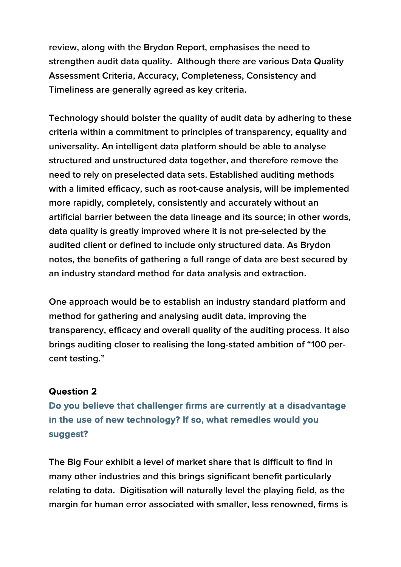**review, along with the Brydon Report, emphasises the need to strengthen audit data quality. Although there are various Data Quality Assessment Criteria, Accuracy, Completeness, Consistency and Timeliness are generally agreed as key criteria.**

**Technology should bolster the quality of audit data by adhering to these criteria within a commitment to principles of transparency, equality and universality. An intelligent data platform should be able to analyse structured and unstructured data together, and therefore remove the need to rely on preselected data sets. Established auditing methods with a limited efficacy, such as root-cause analysis, will be implemented more rapidly, completely, consistently and accurately without an artificial barrier between the data lineage and its source; in other words, data quality is greatly improved where it is not pre-selected by the audited client or defined to include only structured data. As Brydon notes, the benefits of gathering a full range of data are best secured by an industry standard method for data analysis and extraction.**

**One approach would be to establish an industry standard platform and method for gathering and analysing audit data, improving the transparency, efficacy and overall quality of the auditing process. It also brings auditing closer to realising the long-stated ambition of "100 percent testing."**

#### **Question 2**

**Do you believe that challenger firms are currently at a disadvantage in the use of new technology? If so, what remedies would you suggest?** 

**The Big Four exhibit a level of market share that is difficult to find in many other industries and this brings significant benefit particularly relating to data. Digitisation will naturally level the playing field, as the margin for human error associated with smaller, less renowned, firms is**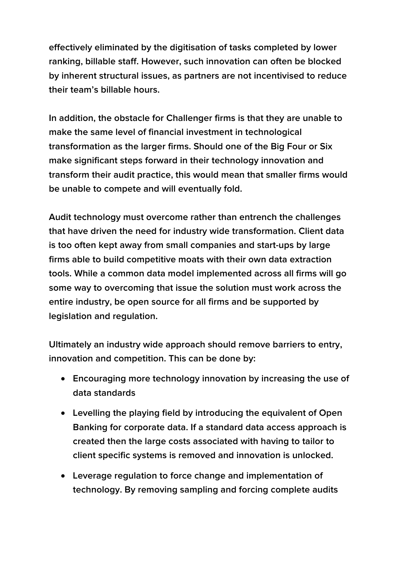**effectively eliminated by the digitisation of tasks completed by lower ranking, billable staff. However, such innovation can often be blocked by inherent structural issues, as partners are not incentivised to reduce their team's billable hours.**

**In addition, the obstacle for Challenger firms is that they are unable to make the same level of financial investment in technological transformation as the larger firms. Should one of the Big Four or Six make significant steps forward in their technology innovation and transform their audit practice, this would mean that smaller firms would be unable to compete and will eventually fold.**

**Audit technology must overcome rather than entrench the challenges that have driven the need for industry wide transformation. Client data is too often kept away from small companies and start-ups by large firms able to build competitive moats with their own data extraction tools. While a common data model implemented across all firms will go some way to overcoming that issue the solution must work across the entire industry, be open source for all firms and be supported by legislation and regulation.** 

**Ultimately an industry wide approach should remove barriers to entry, innovation and competition. This can be done by:**

- **Encouraging more technology innovation by increasing the use of data standards**
- **Levelling the playing field by introducing the equivalent of Open Banking for corporate data. If a standard data access approach is created then the large costs associated with having to tailor to client specific systems is removed and innovation is unlocked.**
- **Leverage regulation to force change and implementation of technology. By removing sampling and forcing complete audits**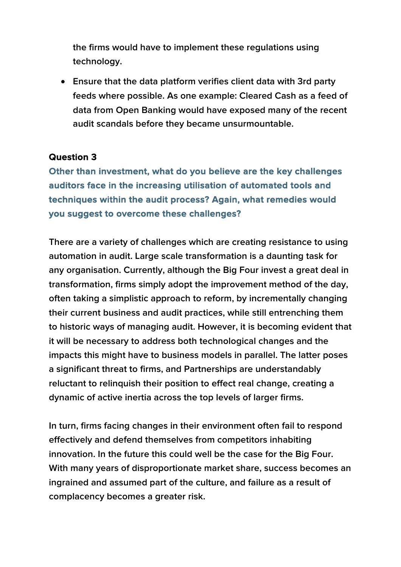**the firms would have to implement these regulations using technology.** 

• **Ensure that the data platform verifies client data with 3rd party feeds where possible. As one example: Cleared Cash as a feed of data from Open Banking would have exposed many of the recent audit scandals before they became unsurmountable.** 

#### **Question 3**

**Other than investment, what do you believe are the key challenges auditors face in the increasing utilisation of automated tools and techniques within the audit process? Again, what remedies would you suggest to overcome these challenges?** 

**There are a variety of challenges which are creating resistance to using automation in audit. Large scale transformation is a daunting task for any organisation. Currently, although the Big Four invest a great deal in transformation, firms simply adopt the improvement method of the day, often taking a simplistic approach to reform, by incrementally changing their current business and audit practices, while still entrenching them to historic ways of managing audit. However, it is becoming evident that it will be necessary to address both technological changes and the impacts this might have to business models in parallel. The latter poses a significant threat to firms, and Partnerships are understandably reluctant to relinquish their position to effect real change, creating a dynamic of active inertia across the top levels of larger firms.**

**In turn, firms facing changes in their environment often fail to respond effectively and defend themselves from competitors inhabiting innovation. In the future this could well be the case for the Big Four. With many years of disproportionate market share, success becomes an ingrained and assumed part of the culture, and failure as a result of complacency becomes a greater risk.**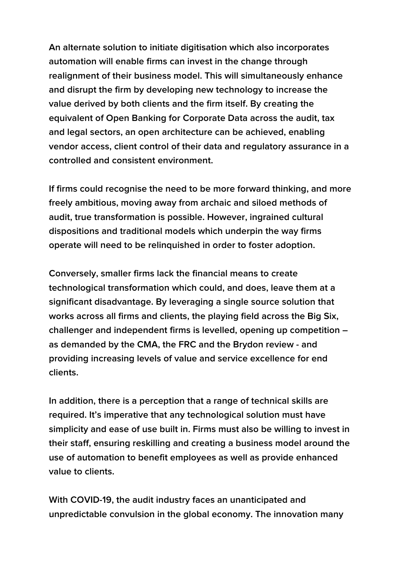**An alternate solution to initiate digitisation which also incorporates automation will enable firms can invest in the change through realignment of their business model. This will simultaneously enhance and disrupt the firm by developing new technology to increase the value derived by both clients and the firm itself. By creating the equivalent of Open Banking for Corporate Data across the audit, tax and legal sectors, an open architecture can be achieved, enabling vendor access, client control of their data and regulatory assurance in a controlled and consistent environment.** 

**If firms could recognise the need to be more forward thinking, and more freely ambitious, moving away from archaic and siloed methods of audit, true transformation is possible. However, ingrained cultural dispositions and traditional models which underpin the way firms operate will need to be relinquished in order to foster adoption.** 

**Conversely, smaller firms lack the financial means to create technological transformation which could, and does, leave them at a significant disadvantage. By leveraging a single source solution that works across all firms and clients, the playing field across the Big Six, challenger and independent firms is levelled, opening up competition – as demanded by the CMA, the FRC and the Brydon review - and providing increasing levels of value and service excellence for end clients.** 

**In addition, there is a perception that a range of technical skills are required. It's imperative that any technological solution must have simplicity and ease of use built in. Firms must also be willing to invest in their staff, ensuring reskilling and creating a business model around the use of automation to benefit employees as well as provide enhanced value to clients.**

**With COVID-19, the audit industry faces an unanticipated and unpredictable convulsion in the global economy. The innovation many**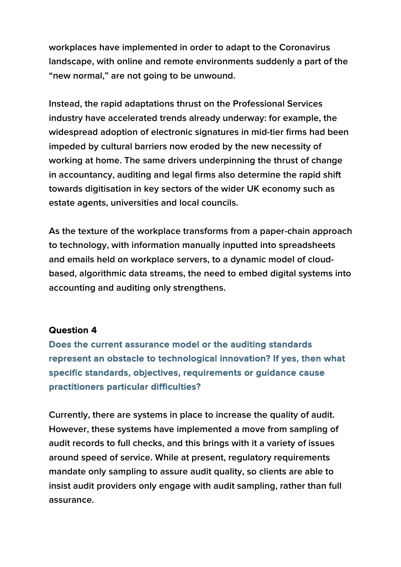**workplaces have implemented in order to adapt to the Coronavirus landscape, with online and remote environments suddenly a part of the "new normal," are not going to be unwound.**

**Instead, the rapid adaptations thrust on the Professional Services industry have accelerated trends already underway: for example, the widespread adoption of electronic signatures in mid-tier firms had been impeded by cultural barriers now eroded by the new necessity of working at home. The same drivers underpinning the thrust of change in accountancy, auditing and legal firms also determine the rapid shift towards digitisation in key sectors of the wider UK economy such as estate agents, universities and local councils.**

**As the texture of the workplace transforms from a paper-chain approach to technology, with information manually inputted into spreadsheets and emails held on workplace servers, to a dynamic model of cloudbased, algorithmic data streams, the need to embed digital systems into accounting and auditing only strengthens.**

#### **Question 4**

**Does the current assurance model or the auditing standards represent an obstacle to technological innovation? If yes, then what specific standards, objectives, requirements or guidance cause practitioners particular difficulties?** 

**Currently, there are systems in place to increase the quality of audit. However, these systems have implemented a move from sampling of audit records to full checks, and this brings with it a variety of issues around speed of service. While at present, regulatory requirements mandate only sampling to assure audit quality, so clients are able to insist audit providers only engage with audit sampling, rather than full assurance.**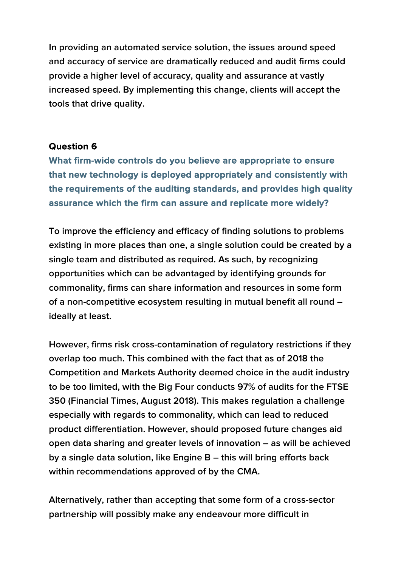**In providing an automated service solution, the issues around speed and accuracy of service are dramatically reduced and audit firms could provide a higher level of accuracy, quality and assurance at vastly increased speed. By implementing this change, clients will accept the tools that drive quality.** 

#### **Question 6**

**What firm-wide controls do you believe are appropriate to ensure that new technology is deployed appropriately and consistently with the requirements of the auditing standards, and provides high quality assurance which the firm can assure and replicate more widely?** 

**To improve the efficiency and efficacy of finding solutions to problems existing in more places than one, a single solution could be created by a single team and distributed as required. As such, by recognizing opportunities which can be advantaged by identifying grounds for commonality, firms can share information and resources in some form of a non-competitive ecosystem resulting in mutual benefit all round – ideally at least.** 

**However, firms risk cross-contamination of regulatory restrictions if they overlap too much. This combined with the fact that as of 2018 the Competition and Markets Authority deemed choice in the audit industry to be too limited, with the Big Four conducts 97% of audits for the FTSE 350 (Financial Times, August 2018). This makes regulation a challenge especially with regards to commonality, which can lead to reduced product differentiation. However, should proposed future changes aid open data sharing and greater levels of innovation – as will be achieved by a single data solution, like Engine B – this will bring efforts back within recommendations approved of by the CMA.** 

**Alternatively, rather than accepting that some form of a cross-sector partnership will possibly make any endeavour more difficult in**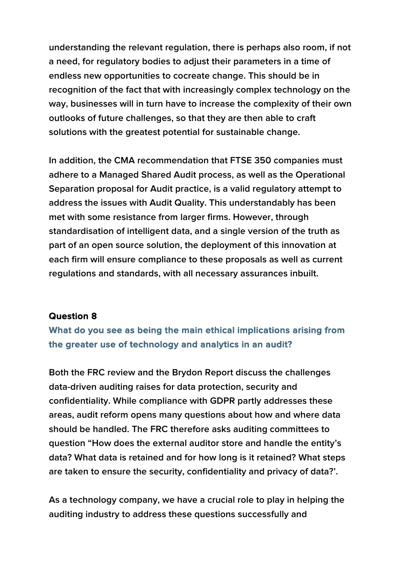**understanding the relevant regulation, there is perhaps also room, if not a need, for regulatory bodies to adjust their parameters in a time of endless new opportunities to cocreate change. This should be in recognition of the fact that with increasingly complex technology on the way, businesses will in turn have to increase the complexity of their own outlooks of future challenges, so that they are then able to craft solutions with the greatest potential for sustainable change.** 

**In addition, the CMA recommendation that FTSE 350 companies must adhere to a Managed Shared Audit process, as well as the Operational Separation proposal for Audit practice, is a valid regulatory attempt to address the issues with Audit Quality. This understandably has been met with some resistance from larger firms. However, through standardisation of intelligent data, and a single version of the truth as part of an open source solution, the deployment of this innovation at each firm will ensure compliance to these proposals as well as current regulations and standards, with all necessary assurances inbuilt.**

#### **Question 8**

**What do you see as being the main ethical implications arising from the greater use of technology and analytics in an audit?**

**Both the FRC review and the Brydon Report discuss the challenges data-driven auditing raises for data protection, security and confidentiality. While compliance with GDPR partly addresses these areas, audit reform opens many questions about how and where data should be handled. The FRC therefore asks auditing committees to question "How does the external auditor store and handle the entity's data? What data is retained and for how long is it retained? What steps are taken to ensure the security, confidentiality and privacy of data?'.** 

**As a technology company, we have a crucial role to play in helping the auditing industry to address these questions successfully and**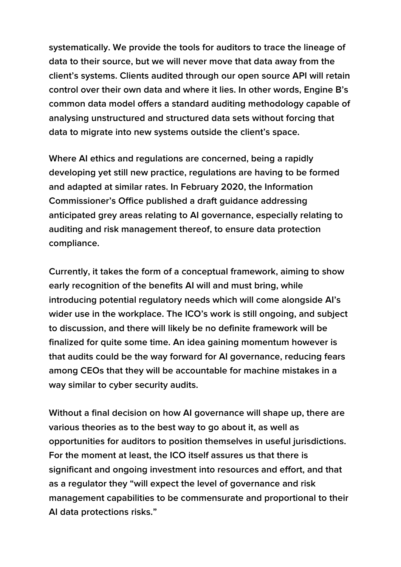**systematically. We provide the tools for auditors to trace the lineage of data to their source, but we will never move that data away from the client's systems. Clients audited through our open source API will retain control over their own data and where it lies. In other words, Engine B's common data model offers a standard auditing methodology capable of analysing unstructured and structured data sets without forcing that data to migrate into new systems outside the client's space.**

**Where AI ethics and regulations are concerned, being a rapidly developing yet still new practice, regulations are having to be formed and adapted at similar rates. In February 2020, the Information Commissioner's Office published a draft guidance addressing anticipated grey areas relating to AI governance, especially relating to auditing and risk management thereof, to ensure data protection compliance.**

**Currently, it takes the form of a conceptual framework, aiming to show early recognition of the benefits AI will and must bring, while introducing potential regulatory needs which will come alongside AI's wider use in the workplace. The ICO's work is still ongoing, and subject to discussion, and there will likely be no definite framework will be finalized for quite some time. An idea gaining momentum however is that audits could be the way forward for AI governance, reducing fears among CEOs that they will be accountable for machine mistakes in a way similar to cyber security audits.** 

**Without a final decision on how AI governance will shape up, there are various theories as to the best way to go about it, as well as opportunities for auditors to position themselves in useful jurisdictions. For the moment at least, the ICO itself assures us that there is significant and ongoing investment into resources and effort, and that as a regulator they "will expect the level of governance and risk management capabilities to be commensurate and proportional to their AI data protections risks."**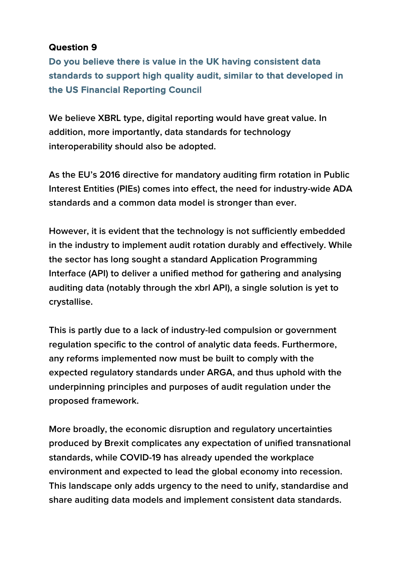**Do you believe there is value in the UK having consistent data standards to support high quality audit, similar to that developed in the US Financial Reporting Council** 

**We believe XBRL type, digital reporting would have great value. In addition, more importantly, data standards for technology interoperability should also be adopted.**

**As the EU's 2016 directive for mandatory auditing firm rotation in Public Interest Entities (PIEs) comes into effect, the need for industry-wide ADA standards and a common data model is stronger than ever.** 

**However, it is evident that the technology is not sufficiently embedded in the industry to implement audit rotation durably and effectively. While the sector has long sought a standard Application Programming Interface (API) to deliver a unified method for gathering and analysing auditing data (notably through the xbrl API), a single solution is yet to crystallise.** 

**This is partly due to a lack of industry-led compulsion or government regulation specific to the control of analytic data feeds. Furthermore, any reforms implemented now must be built to comply with the expected regulatory standards under ARGA, and thus uphold with the underpinning principles and purposes of audit regulation under the proposed framework.**

**More broadly, the economic disruption and regulatory uncertainties produced by Brexit complicates any expectation of unified transnational standards, while COVID-19 has already upended the workplace environment and expected to lead the global economy into recession. This landscape only adds urgency to the need to unify, standardise and share auditing data models and implement consistent data standards.**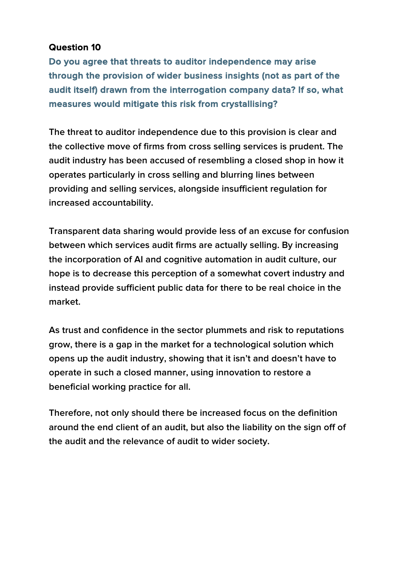**Do you agree that threats to auditor independence may arise through the provision of wider business insights (not as part of the audit itself) drawn from the interrogation company data? If so, what measures would mitigate this risk from crystallising?** 

**The threat to auditor independence due to this provision is clear and the collective move of firms from cross selling services is prudent. The audit industry has been accused of resembling a closed shop in how it operates particularly in cross selling and blurring lines between providing and selling services, alongside insufficient regulation for increased accountability.**

**Transparent data sharing would provide less of an excuse for confusion between which services audit firms are actually selling. By increasing the incorporation of AI and cognitive automation in audit culture, our hope is to decrease this perception of a somewhat covert industry and instead provide sufficient public data for there to be real choice in the market.**

**As trust and confidence in the sector plummets and risk to reputations grow, there is a gap in the market for a technological solution which opens up the audit industry, showing that it isn't and doesn't have to operate in such a closed manner, using innovation to restore a beneficial working practice for all.** 

**Therefore, not only should there be increased focus on the definition around the end client of an audit, but also the liability on the sign off of the audit and the relevance of audit to wider society.**